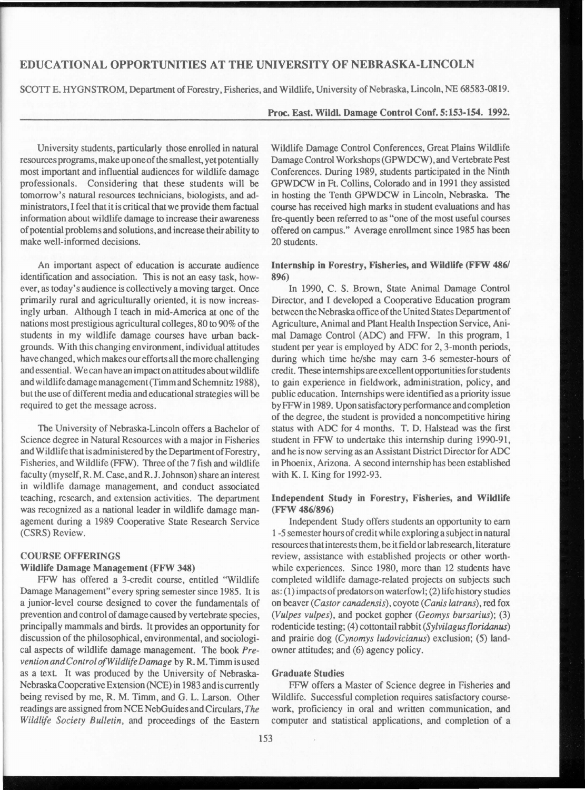# **EDUCATIONAL OPPORTUNITIES AT THE UNIVERSITY OF NEBRASKA-LINCOLN**

SCOTT E. HYGNSTROM, Department of Forestry, Fisheries, and Wildlife, University of Nebraska, Lincoln, NE 68583-0819.

## **Proc. East. Wildl. Damage Control Coor. 5:153-154. 1992.**

University students, particularly those enrolled in natural resources programs, make up one of the smallest, yet potentially most important and influential audiences for wildlife damage professionals. Considering that these students will be tomorrow's natural resources technicians, biologists, and administrators, I feel that it is critical that we provide them factual information about wildlife damage to increase their awareness of potential problems and solutions, and increase their ability to make well-informed decisions.

An important aspect of education is accurate audience identification and association. This is not an easy task, however, as today's audience is collectively a moving target. Once primarily rural and agriculturally oriented, it is now increasingly urban. Although I teach in mid-America at one of the nations most prestigious agricultural colleges, 80 to 90% of the students in my wildlife damage courses have urban backgrounds. With this changing environment, individual attitudes have changed, which makes our efforts all the more challenging and essential. We can have an impact on attitudes about wildlife and wildlife damage management (Timm and Schemnitz 1988), but the use of different media and educational strategies will be required to get the message across.

The University of Nebraska-Lincoln offers a Bachelor of Science degree in Natural Resources with a major in Fisheries and Wildlife that is administered by the DepartmentofForestry, Fisheries, and Wildlife (FFW). Three of the 7 fish and wildlife faculty (myself, R. M. Case, and R. J. Johnson) share an interest in wildlife damage management, and conduct associated teaching, research, and extension activities. The department was recognized as a national leader in wildlife damage management during a 1989 Cooperative State Research Service (CSRS) Review.

## **COURSE OFFERINGS**

#### **Wildlife Damage Management (FFW 348)**

FFW has offered a 3-credit course, entitled "Wildlife Damage Management" every spring semester since 1985. It is a junior-level course designed to cover the fundamentals of prevention and control of damage caused by vertebrate species, principally mammals and birds. It provides an opportunity for discussion of the philosophical, environmental, and sociological aspects of wildlife damage management. The book *Prevention and Control of Wildlife Damage* by **R. M.** Timm is used as a text. It was produced by the University of Nebraska-Nebraska Cooperative Extension (NCE) in 1983 and is currently being revised by me, R. M. Timm, and G. L. Larson. Other readings are assigned from NCE NebGuides and Circulars, *The Wildlife Society Bulletin,* and proceedings of the Eastern

Wildlife Damage Control Conferences, Great Plains Wildlife Damage Control Workshops (GPWDCW), and Vertebrate Pest Conferences. During 1989, students participated in the Ninth GPWDCW in Ft. Collins, Colorado and in 1991 they assisted in hosting the Tenth GPWDCW in Lincoln, Nebraska. The course has received high marks in student evaluations and has fre-quently been referred to as "one of the most useful courses offered on campus." Average enrollment since 1985 has been 20 students.

## **Internship** in **Forestry, Fisheries, and Wildlife (FFW 486/ 896)**

In 1990, C. S. Brown, State Animal Damage Control Director, and I developed a Cooperative Education program between the Nebraska office of the United States Department of Agriculture, Animal and Plant Health Inspection Service, Animal Damage Control (ADC) and FFW. In this program, 1 student per year is employed by ADC for 2, 3-month periods, during which time he/she may earn 3-6 semester-hours of credit. These internships are excellent opportunities for students to gain experience in fieldwork, administration, policy, and public education. Internships were identified as a priority issue by FFW in 1989. Upon satisfactory performance and completion of the degree, the student is provided a noncompetitive hiring status with ADC for 4 months. T. D. Halstead was the first student in FFW to undertake this internship during 1990-91, and he is now serving as an Assistant District Director for ADC in Phoenix, Arizona. A second internship has been established with K. I. King for 1992-93.

#### **Independent Study in Forestry, Fisheries, and Wildlife (FFW 486/896)**

Independent Study offers students an opportunity to earn 1 -5 semester hours of credit while exploring a subject in natural resources that interests them, be it field or lab research, literature review, assistance with established projects or other worthwhile experiences. Since 1980, more than 12 students have completed wildlife damage-related projects on subjects such as: (1) impacts of predators on waterfowl; (2) life history studies on beaver *(Castor canadensis),* coyote *(Canis latrans),* red fox *(Vulpes vulpes),* and pocket gopher *(Geomys bursarius);* (3) rodenticide testing; (4) cottontail rabbit *(Sylvilagus floridanus)* and prairie dog *(Cynomys ludovicianus)* exclusion; (5) landowner attitudes; and (6) agency policy.

#### **Graduate Studies**

FFW offers a Master of Science degree in Fisheries and Wildlife. Successful completion requires satisfactory coursework, proficiency in oral and written communication, and computer and statistical applications, and completion of a